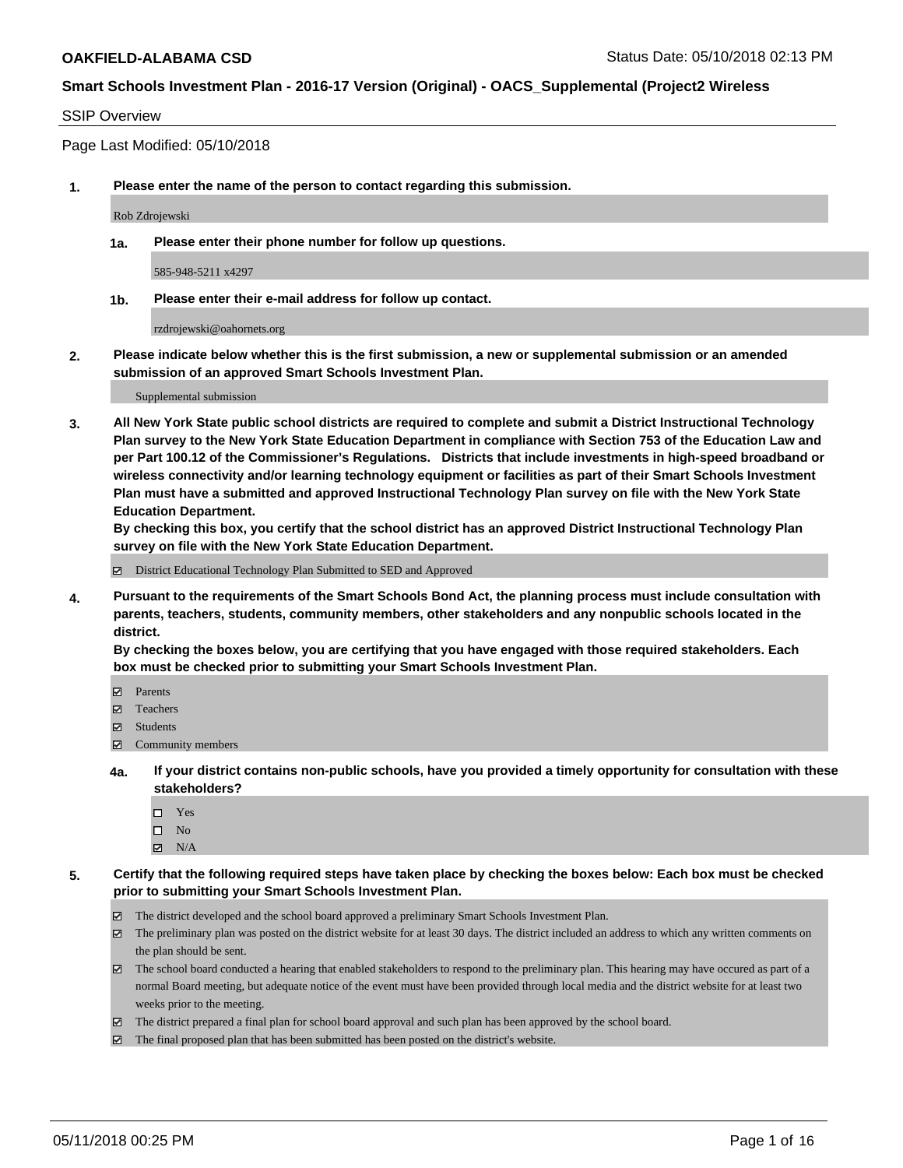#### SSIP Overview

Page Last Modified: 05/10/2018

**1. Please enter the name of the person to contact regarding this submission.**

Rob Zdrojewski

**1a. Please enter their phone number for follow up questions.**

585-948-5211 x4297

**1b. Please enter their e-mail address for follow up contact.**

rzdrojewski@oahornets.org

**2. Please indicate below whether this is the first submission, a new or supplemental submission or an amended submission of an approved Smart Schools Investment Plan.**

Supplemental submission

**3. All New York State public school districts are required to complete and submit a District Instructional Technology Plan survey to the New York State Education Department in compliance with Section 753 of the Education Law and per Part 100.12 of the Commissioner's Regulations. Districts that include investments in high-speed broadband or wireless connectivity and/or learning technology equipment or facilities as part of their Smart Schools Investment Plan must have a submitted and approved Instructional Technology Plan survey on file with the New York State Education Department.** 

**By checking this box, you certify that the school district has an approved District Instructional Technology Plan survey on file with the New York State Education Department.**

District Educational Technology Plan Submitted to SED and Approved

**4. Pursuant to the requirements of the Smart Schools Bond Act, the planning process must include consultation with parents, teachers, students, community members, other stakeholders and any nonpublic schools located in the district.** 

**By checking the boxes below, you are certifying that you have engaged with those required stakeholders. Each box must be checked prior to submitting your Smart Schools Investment Plan.**

- Parents
- Teachers
- Students
- $\Xi$  Community members
- **4a. If your district contains non-public schools, have you provided a timely opportunity for consultation with these stakeholders?**
	- Yes
	- $\square$  No
	- $N/A$
- **5. Certify that the following required steps have taken place by checking the boxes below: Each box must be checked prior to submitting your Smart Schools Investment Plan.**
	- The district developed and the school board approved a preliminary Smart Schools Investment Plan.
	- $\boxtimes$  The preliminary plan was posted on the district website for at least 30 days. The district included an address to which any written comments on the plan should be sent.
	- $\boxtimes$  The school board conducted a hearing that enabled stakeholders to respond to the preliminary plan. This hearing may have occured as part of a normal Board meeting, but adequate notice of the event must have been provided through local media and the district website for at least two weeks prior to the meeting.
	- The district prepared a final plan for school board approval and such plan has been approved by the school board.
	- $\boxtimes$  The final proposed plan that has been submitted has been posted on the district's website.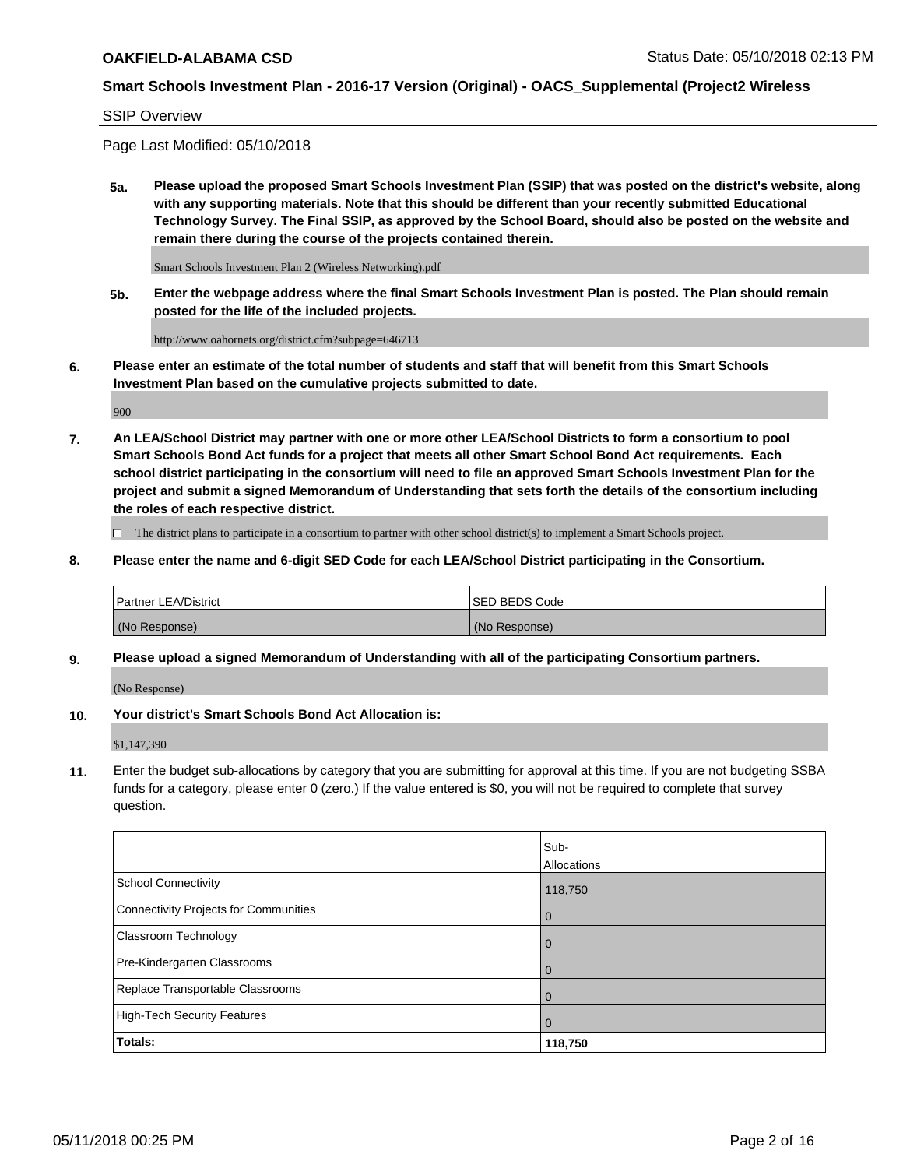#### SSIP Overview

Page Last Modified: 05/10/2018

**5a. Please upload the proposed Smart Schools Investment Plan (SSIP) that was posted on the district's website, along with any supporting materials. Note that this should be different than your recently submitted Educational Technology Survey. The Final SSIP, as approved by the School Board, should also be posted on the website and remain there during the course of the projects contained therein.**

Smart Schools Investment Plan 2 (Wireless Networking).pdf

**5b. Enter the webpage address where the final Smart Schools Investment Plan is posted. The Plan should remain posted for the life of the included projects.**

http://www.oahornets.org/district.cfm?subpage=646713

**6. Please enter an estimate of the total number of students and staff that will benefit from this Smart Schools Investment Plan based on the cumulative projects submitted to date.**

900

**7. An LEA/School District may partner with one or more other LEA/School Districts to form a consortium to pool Smart Schools Bond Act funds for a project that meets all other Smart School Bond Act requirements. Each school district participating in the consortium will need to file an approved Smart Schools Investment Plan for the project and submit a signed Memorandum of Understanding that sets forth the details of the consortium including the roles of each respective district.**

 $\Box$  The district plans to participate in a consortium to partner with other school district(s) to implement a Smart Schools project.

**8. Please enter the name and 6-digit SED Code for each LEA/School District participating in the Consortium.**

| <b>Partner LEA/District</b> | <b>ISED BEDS Code</b> |
|-----------------------------|-----------------------|
| (No Response)               | (No Response)         |

#### **9. Please upload a signed Memorandum of Understanding with all of the participating Consortium partners.**

(No Response)

**10. Your district's Smart Schools Bond Act Allocation is:**

\$1,147,390

**11.** Enter the budget sub-allocations by category that you are submitting for approval at this time. If you are not budgeting SSBA funds for a category, please enter 0 (zero.) If the value entered is \$0, you will not be required to complete that survey question.

|                                       | Sub-<br><b>Allocations</b> |
|---------------------------------------|----------------------------|
| School Connectivity                   | 118,750                    |
| Connectivity Projects for Communities | l 0                        |
| Classroom Technology                  | $\overline{0}$             |
| Pre-Kindergarten Classrooms           | $\overline{0}$             |
| Replace Transportable Classrooms      | $\Omega$                   |
| High-Tech Security Features           | $\overline{0}$             |
| Totals:                               | 118,750                    |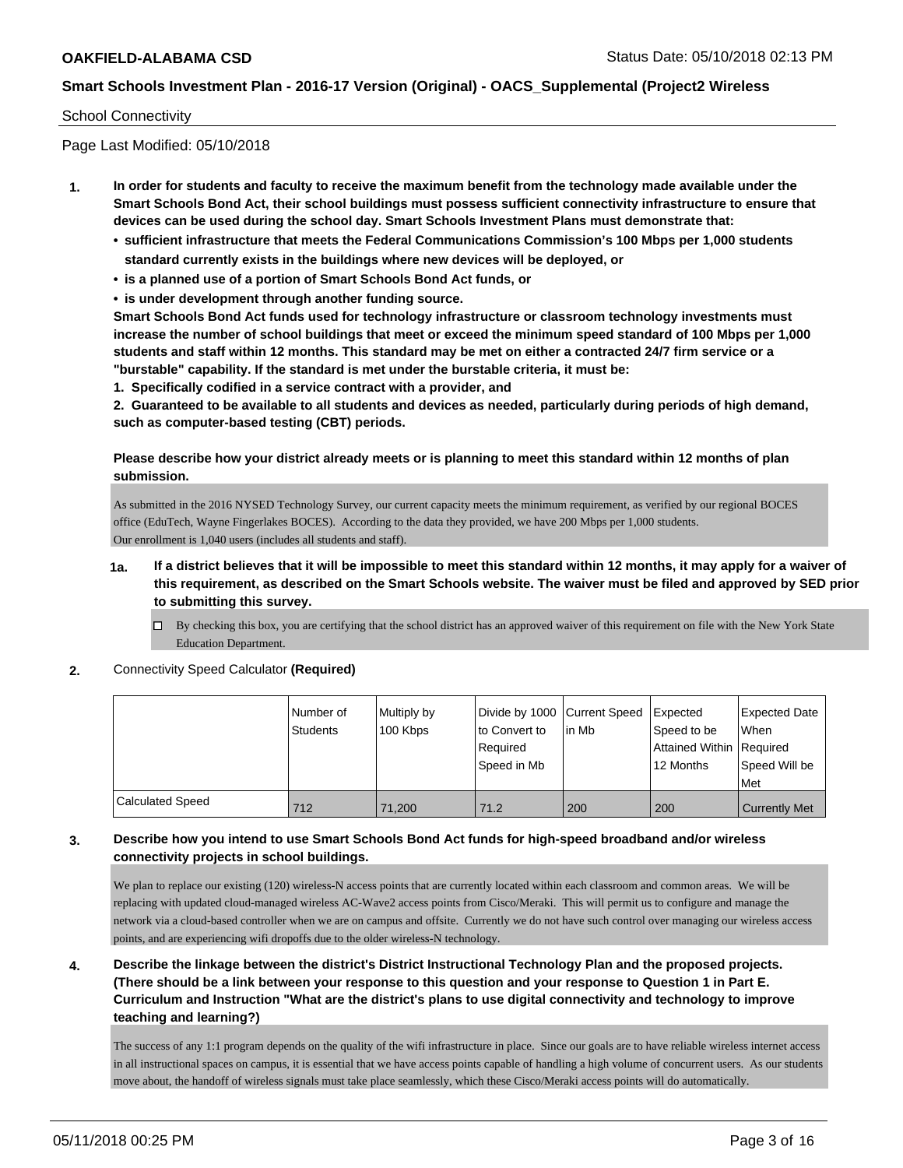### School Connectivity

Page Last Modified: 05/10/2018

- **1. In order for students and faculty to receive the maximum benefit from the technology made available under the Smart Schools Bond Act, their school buildings must possess sufficient connectivity infrastructure to ensure that devices can be used during the school day. Smart Schools Investment Plans must demonstrate that:**
	- **• sufficient infrastructure that meets the Federal Communications Commission's 100 Mbps per 1,000 students standard currently exists in the buildings where new devices will be deployed, or**
	- **• is a planned use of a portion of Smart Schools Bond Act funds, or**
	- **• is under development through another funding source.**

**Smart Schools Bond Act funds used for technology infrastructure or classroom technology investments must increase the number of school buildings that meet or exceed the minimum speed standard of 100 Mbps per 1,000 students and staff within 12 months. This standard may be met on either a contracted 24/7 firm service or a "burstable" capability. If the standard is met under the burstable criteria, it must be:**

**1. Specifically codified in a service contract with a provider, and**

**2. Guaranteed to be available to all students and devices as needed, particularly during periods of high demand, such as computer-based testing (CBT) periods.**

### **Please describe how your district already meets or is planning to meet this standard within 12 months of plan submission.**

As submitted in the 2016 NYSED Technology Survey, our current capacity meets the minimum requirement, as verified by our regional BOCES office (EduTech, Wayne Fingerlakes BOCES). According to the data they provided, we have 200 Mbps per 1,000 students. Our enrollment is 1,040 users (includes all students and staff).

- **1a. If a district believes that it will be impossible to meet this standard within 12 months, it may apply for a waiver of this requirement, as described on the Smart Schools website. The waiver must be filed and approved by SED prior to submitting this survey.**
	- By checking this box, you are certifying that the school district has an approved waiver of this requirement on file with the New York State Education Department.
- **2.** Connectivity Speed Calculator **(Required)**

|                  | l Number of<br><b>Students</b> | Multiply by<br>100 Kbps | Divide by 1000 Current Speed<br>to Convert to<br>Required<br>l Speed in Mb | l in Mb | <b>Expected</b><br>Speed to be<br>Attained Within Required<br>12 Months | Expected Date<br>When<br>Speed Will be<br><b>Met</b> |
|------------------|--------------------------------|-------------------------|----------------------------------------------------------------------------|---------|-------------------------------------------------------------------------|------------------------------------------------------|
| Calculated Speed | 712                            | 71.200                  | 71.2                                                                       | 200     | 200                                                                     | <b>Currently Met</b>                                 |

### **3. Describe how you intend to use Smart Schools Bond Act funds for high-speed broadband and/or wireless connectivity projects in school buildings.**

We plan to replace our existing (120) wireless-N access points that are currently located within each classroom and common areas. We will be replacing with updated cloud-managed wireless AC-Wave2 access points from Cisco/Meraki. This will permit us to configure and manage the network via a cloud-based controller when we are on campus and offsite. Currently we do not have such control over managing our wireless access points, and are experiencing wifi dropoffs due to the older wireless-N technology.

**4. Describe the linkage between the district's District Instructional Technology Plan and the proposed projects. (There should be a link between your response to this question and your response to Question 1 in Part E. Curriculum and Instruction "What are the district's plans to use digital connectivity and technology to improve teaching and learning?)**

The success of any 1:1 program depends on the quality of the wifi infrastructure in place. Since our goals are to have reliable wireless internet access in all instructional spaces on campus, it is essential that we have access points capable of handling a high volume of concurrent users. As our students move about, the handoff of wireless signals must take place seamlessly, which these Cisco/Meraki access points will do automatically.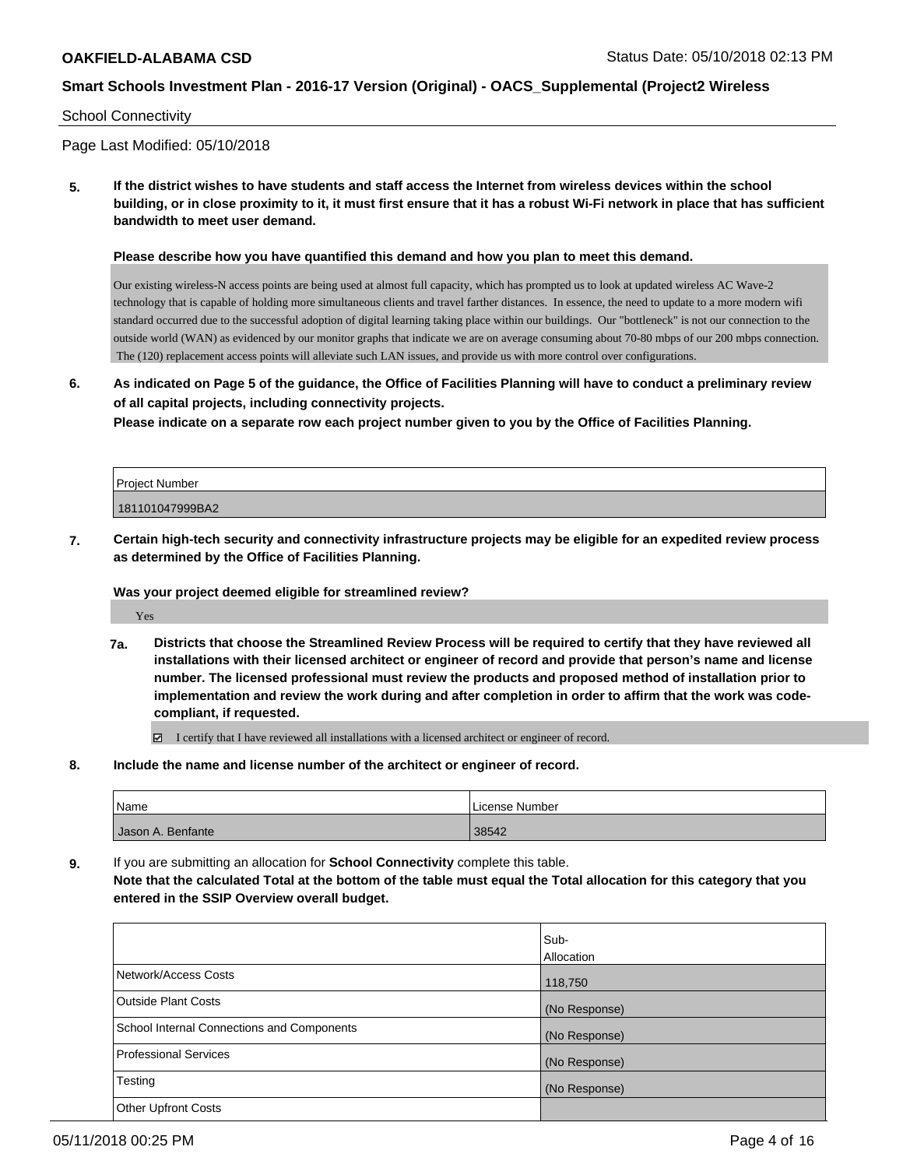#### School Connectivity

Page Last Modified: 05/10/2018

**5. If the district wishes to have students and staff access the Internet from wireless devices within the school building, or in close proximity to it, it must first ensure that it has a robust Wi-Fi network in place that has sufficient bandwidth to meet user demand.**

#### **Please describe how you have quantified this demand and how you plan to meet this demand.**

Our existing wireless-N access points are being used at almost full capacity, which has prompted us to look at updated wireless AC Wave-2 technology that is capable of holding more simultaneous clients and travel farther distances. In essence, the need to update to a more modern wifi standard occurred due to the successful adoption of digital learning taking place within our buildings. Our "bottleneck" is not our connection to the outside world (WAN) as evidenced by our monitor graphs that indicate we are on average consuming about 70-80 mbps of our 200 mbps connection. The (120) replacement access points will alleviate such LAN issues, and provide us with more control over configurations.

**6. As indicated on Page 5 of the guidance, the Office of Facilities Planning will have to conduct a preliminary review of all capital projects, including connectivity projects.**

**Please indicate on a separate row each project number given to you by the Office of Facilities Planning.**

| Project Number  |  |
|-----------------|--|
| 181101047999BA2 |  |

**7. Certain high-tech security and connectivity infrastructure projects may be eligible for an expedited review process as determined by the Office of Facilities Planning.**

#### **Was your project deemed eligible for streamlined review?**

Yes

- **7a. Districts that choose the Streamlined Review Process will be required to certify that they have reviewed all installations with their licensed architect or engineer of record and provide that person's name and license number. The licensed professional must review the products and proposed method of installation prior to implementation and review the work during and after completion in order to affirm that the work was codecompliant, if requested.**
	- I certify that I have reviewed all installations with a licensed architect or engineer of record.
- **8. Include the name and license number of the architect or engineer of record.**

| <b>Name</b>       | License Number |
|-------------------|----------------|
| Jason A. Benfante | 38542          |

**9.** If you are submitting an allocation for **School Connectivity** complete this table. **Note that the calculated Total at the bottom of the table must equal the Total allocation for this category that you entered in the SSIP Overview overall budget.** 

|                                            | Sub-<br>Allocation |
|--------------------------------------------|--------------------|
| Network/Access Costs                       | 118,750            |
| <b>Outside Plant Costs</b>                 | (No Response)      |
| School Internal Connections and Components | (No Response)      |
| <b>Professional Services</b>               | (No Response)      |
| Testing                                    | (No Response)      |
| <b>Other Upfront Costs</b>                 |                    |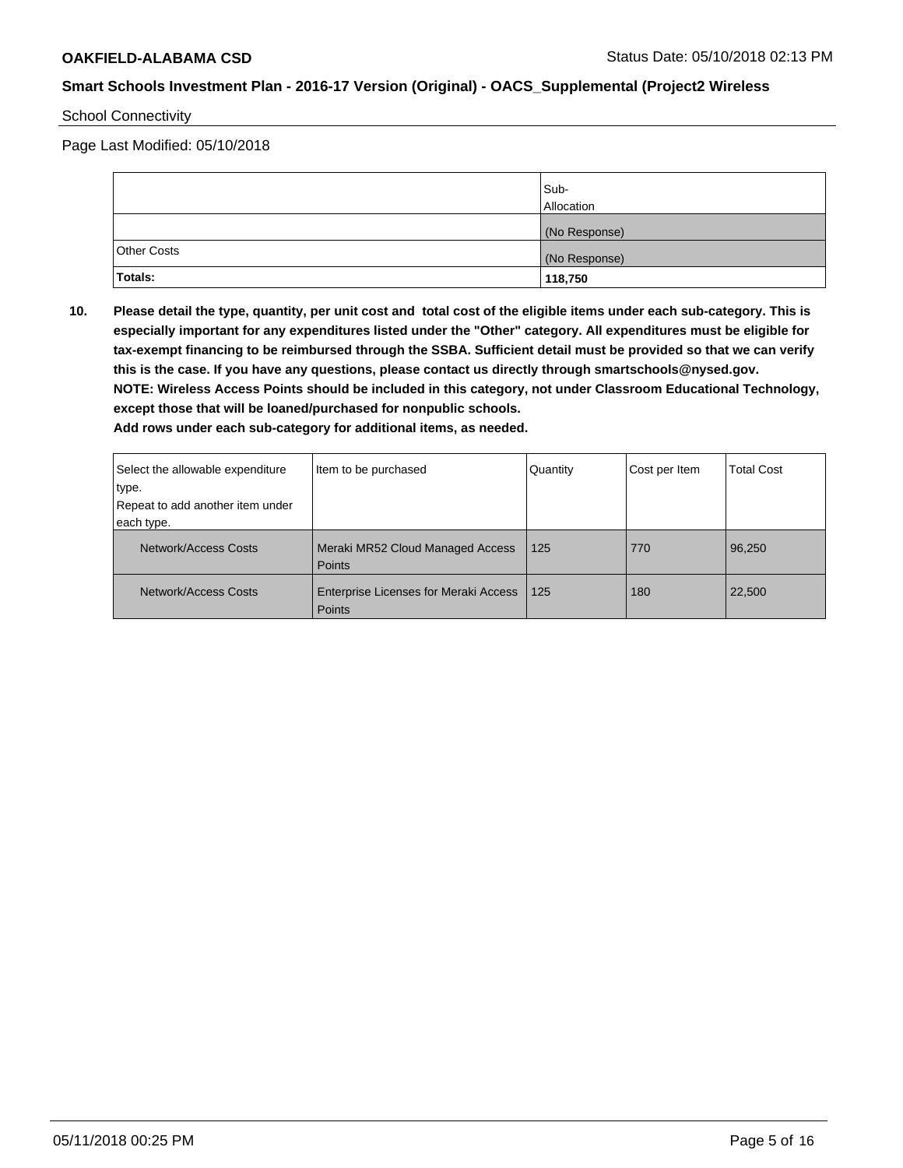### School Connectivity

Page Last Modified: 05/10/2018

|                    | Sub-<br>Allocation |
|--------------------|--------------------|
|                    | (No Response)      |
| <b>Other Costs</b> | (No Response)      |
| Totals:            | 118,750            |

**10. Please detail the type, quantity, per unit cost and total cost of the eligible items under each sub-category. This is especially important for any expenditures listed under the "Other" category. All expenditures must be eligible for tax-exempt financing to be reimbursed through the SSBA. Sufficient detail must be provided so that we can verify this is the case. If you have any questions, please contact us directly through smartschools@nysed.gov. NOTE: Wireless Access Points should be included in this category, not under Classroom Educational Technology, except those that will be loaned/purchased for nonpublic schools.**

| Select the allowable expenditure | Item to be purchased                                          | Quantity | Cost per Item | <b>Total Cost</b> |
|----------------------------------|---------------------------------------------------------------|----------|---------------|-------------------|
| ∣type.                           |                                                               |          |               |                   |
| Repeat to add another item under |                                                               |          |               |                   |
| each type.                       |                                                               |          |               |                   |
| Network/Access Costs             | Meraki MR52 Cloud Managed Access<br><b>Points</b>             | 125      | 770           | 96,250            |
| Network/Access Costs             | <b>Enterprise Licenses for Meraki Access</b><br><b>Points</b> | 125      | 180           | 22,500            |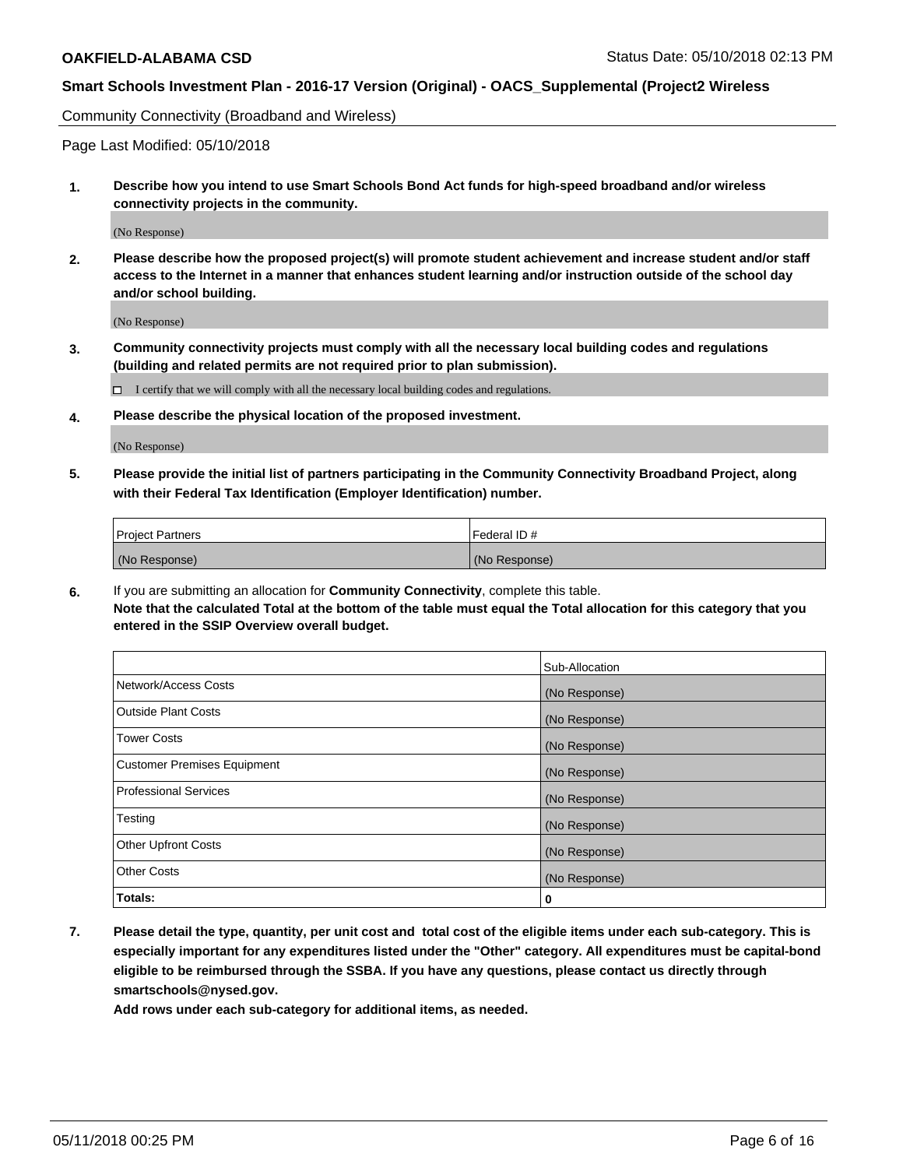Community Connectivity (Broadband and Wireless)

Page Last Modified: 05/10/2018

**1. Describe how you intend to use Smart Schools Bond Act funds for high-speed broadband and/or wireless connectivity projects in the community.**

(No Response)

**2. Please describe how the proposed project(s) will promote student achievement and increase student and/or staff access to the Internet in a manner that enhances student learning and/or instruction outside of the school day and/or school building.**

(No Response)

**3. Community connectivity projects must comply with all the necessary local building codes and regulations (building and related permits are not required prior to plan submission).**

 $\Box$  I certify that we will comply with all the necessary local building codes and regulations.

**4. Please describe the physical location of the proposed investment.**

(No Response)

**5. Please provide the initial list of partners participating in the Community Connectivity Broadband Project, along with their Federal Tax Identification (Employer Identification) number.**

| <b>Project Partners</b> | l Federal ID # |
|-------------------------|----------------|
| (No Response)           | (No Response)  |

**6.** If you are submitting an allocation for **Community Connectivity**, complete this table. **Note that the calculated Total at the bottom of the table must equal the Total allocation for this category that you entered in the SSIP Overview overall budget.**

|                                    | Sub-Allocation |
|------------------------------------|----------------|
| Network/Access Costs               | (No Response)  |
| Outside Plant Costs                | (No Response)  |
| <b>Tower Costs</b>                 | (No Response)  |
| <b>Customer Premises Equipment</b> | (No Response)  |
| Professional Services              | (No Response)  |
| Testing                            | (No Response)  |
| <b>Other Upfront Costs</b>         | (No Response)  |
| <b>Other Costs</b>                 | (No Response)  |
| Totals:                            | 0              |

**7. Please detail the type, quantity, per unit cost and total cost of the eligible items under each sub-category. This is especially important for any expenditures listed under the "Other" category. All expenditures must be capital-bond eligible to be reimbursed through the SSBA. If you have any questions, please contact us directly through smartschools@nysed.gov.**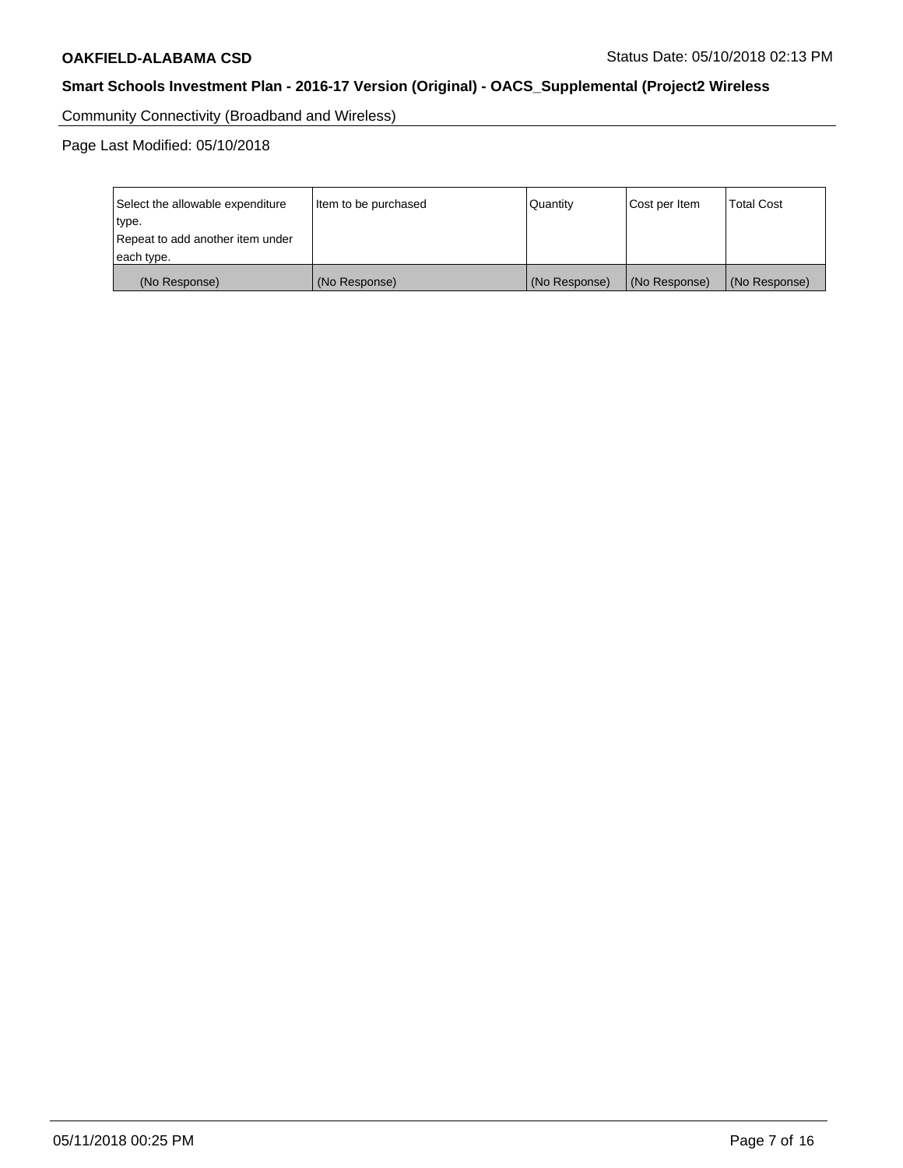Community Connectivity (Broadband and Wireless)

Page Last Modified: 05/10/2018

| Select the allowable expenditure<br>type.<br>Repeat to add another item under | Item to be purchased | Quantity      | Cost per Item | <b>Total Cost</b> |
|-------------------------------------------------------------------------------|----------------------|---------------|---------------|-------------------|
| each type.                                                                    |                      |               |               |                   |
| (No Response)                                                                 | (No Response)        | (No Response) | (No Response) | (No Response)     |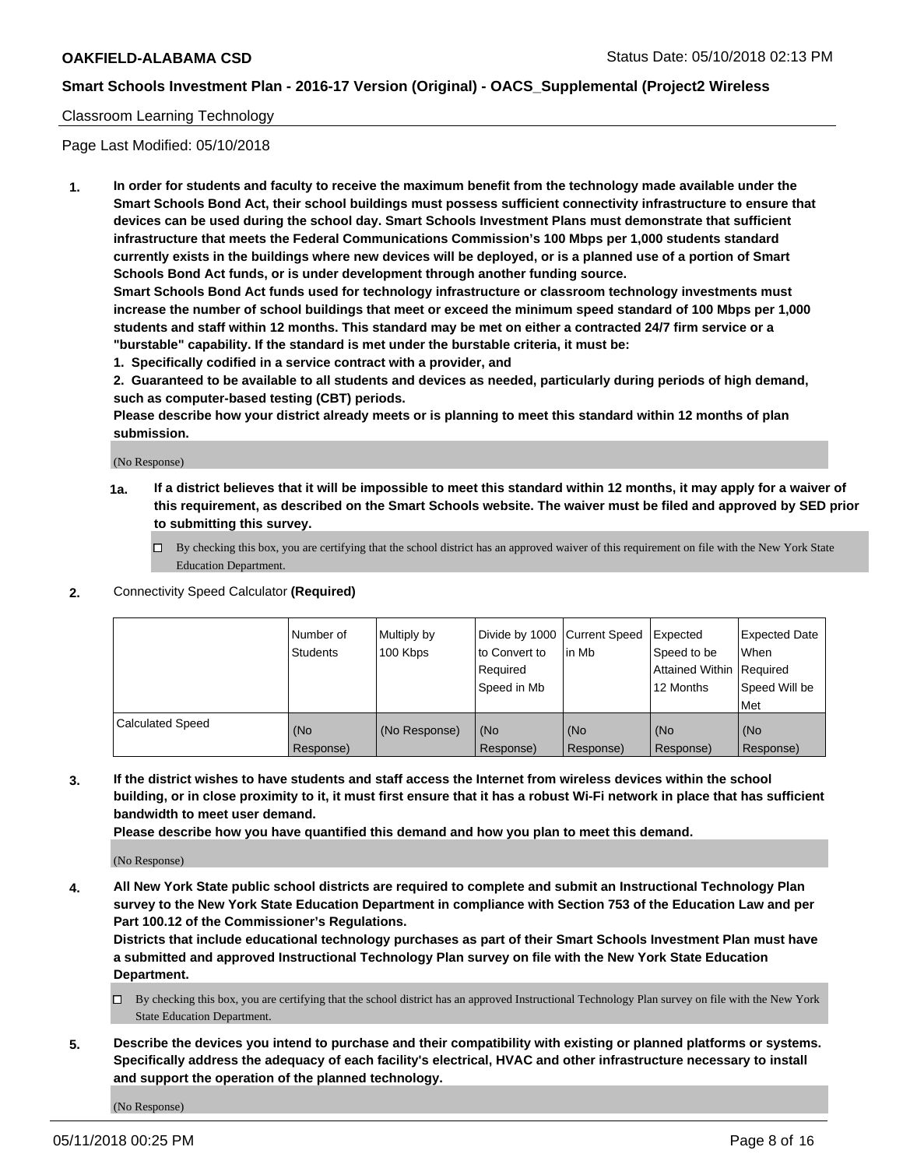### Classroom Learning Technology

Page Last Modified: 05/10/2018

**1. In order for students and faculty to receive the maximum benefit from the technology made available under the Smart Schools Bond Act, their school buildings must possess sufficient connectivity infrastructure to ensure that devices can be used during the school day. Smart Schools Investment Plans must demonstrate that sufficient infrastructure that meets the Federal Communications Commission's 100 Mbps per 1,000 students standard currently exists in the buildings where new devices will be deployed, or is a planned use of a portion of Smart Schools Bond Act funds, or is under development through another funding source.**

**Smart Schools Bond Act funds used for technology infrastructure or classroom technology investments must increase the number of school buildings that meet or exceed the minimum speed standard of 100 Mbps per 1,000 students and staff within 12 months. This standard may be met on either a contracted 24/7 firm service or a "burstable" capability. If the standard is met under the burstable criteria, it must be:**

**1. Specifically codified in a service contract with a provider, and**

**2. Guaranteed to be available to all students and devices as needed, particularly during periods of high demand, such as computer-based testing (CBT) periods.**

**Please describe how your district already meets or is planning to meet this standard within 12 months of plan submission.**

(No Response)

- **1a. If a district believes that it will be impossible to meet this standard within 12 months, it may apply for a waiver of this requirement, as described on the Smart Schools website. The waiver must be filed and approved by SED prior to submitting this survey.**
	- By checking this box, you are certifying that the school district has an approved waiver of this requirement on file with the New York State Education Department.
- **2.** Connectivity Speed Calculator **(Required)**

|                         | l Number of<br><b>Students</b> | Multiply by<br>100 Kbps | Divide by 1000 Current Speed<br>to Convert to<br>Required<br>l Speed in Mb | lin Mb           | Expected<br>Speed to be<br>Attained Within Required<br>12 Months | Expected Date<br>When<br>Speed Will be<br><b>Met</b> |
|-------------------------|--------------------------------|-------------------------|----------------------------------------------------------------------------|------------------|------------------------------------------------------------------|------------------------------------------------------|
| <b>Calculated Speed</b> | (No<br>Response)               | (No Response)           | (No<br>Response)                                                           | (No<br>Response) | (No<br>Response)                                                 | l (No<br>Response)                                   |

**3. If the district wishes to have students and staff access the Internet from wireless devices within the school building, or in close proximity to it, it must first ensure that it has a robust Wi-Fi network in place that has sufficient bandwidth to meet user demand.**

**Please describe how you have quantified this demand and how you plan to meet this demand.**

(No Response)

**4. All New York State public school districts are required to complete and submit an Instructional Technology Plan survey to the New York State Education Department in compliance with Section 753 of the Education Law and per Part 100.12 of the Commissioner's Regulations.**

**Districts that include educational technology purchases as part of their Smart Schools Investment Plan must have a submitted and approved Instructional Technology Plan survey on file with the New York State Education Department.**

- By checking this box, you are certifying that the school district has an approved Instructional Technology Plan survey on file with the New York State Education Department.
- **5. Describe the devices you intend to purchase and their compatibility with existing or planned platforms or systems. Specifically address the adequacy of each facility's electrical, HVAC and other infrastructure necessary to install and support the operation of the planned technology.**

(No Response)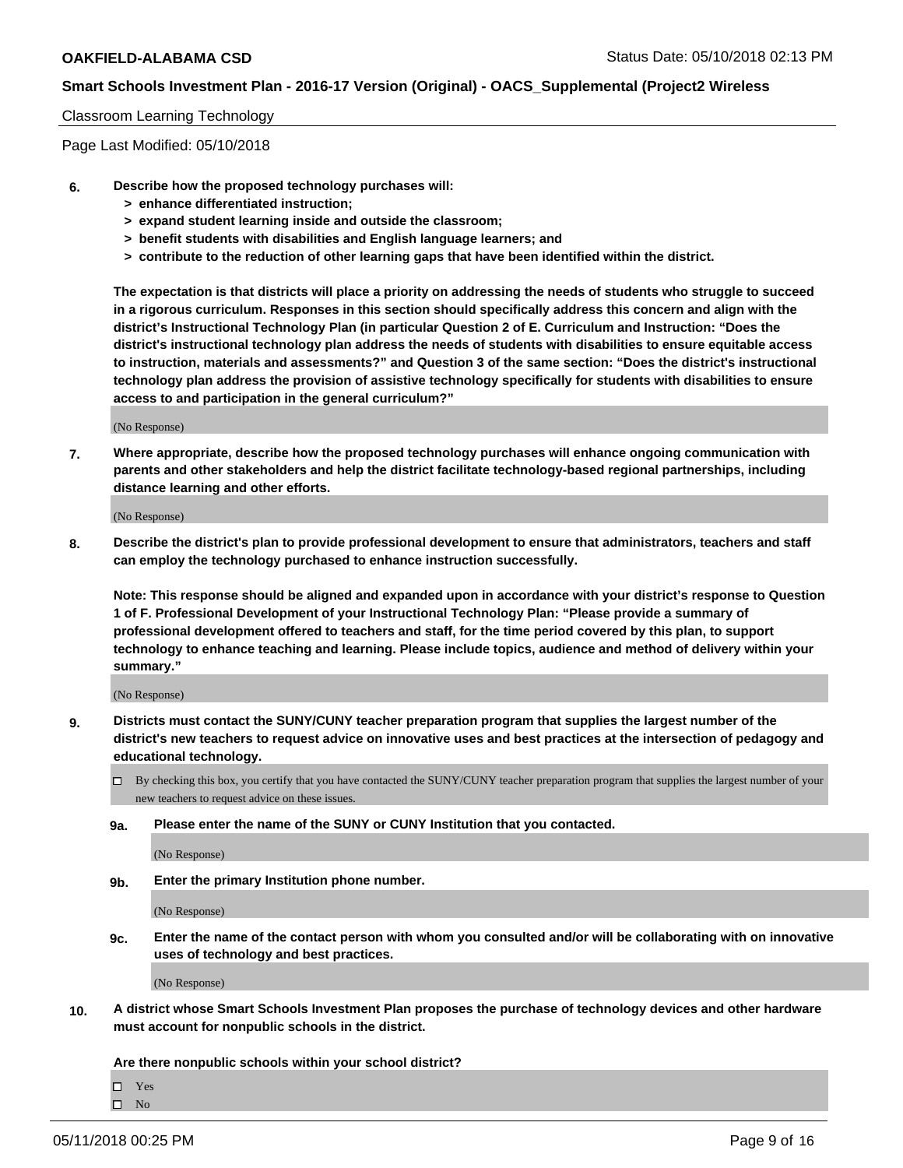#### Classroom Learning Technology

Page Last Modified: 05/10/2018

- **6. Describe how the proposed technology purchases will:**
	- **> enhance differentiated instruction;**
	- **> expand student learning inside and outside the classroom;**
	- **> benefit students with disabilities and English language learners; and**
	- **> contribute to the reduction of other learning gaps that have been identified within the district.**

**The expectation is that districts will place a priority on addressing the needs of students who struggle to succeed in a rigorous curriculum. Responses in this section should specifically address this concern and align with the district's Instructional Technology Plan (in particular Question 2 of E. Curriculum and Instruction: "Does the district's instructional technology plan address the needs of students with disabilities to ensure equitable access to instruction, materials and assessments?" and Question 3 of the same section: "Does the district's instructional technology plan address the provision of assistive technology specifically for students with disabilities to ensure access to and participation in the general curriculum?"**

(No Response)

**7. Where appropriate, describe how the proposed technology purchases will enhance ongoing communication with parents and other stakeholders and help the district facilitate technology-based regional partnerships, including distance learning and other efforts.**

(No Response)

**8. Describe the district's plan to provide professional development to ensure that administrators, teachers and staff can employ the technology purchased to enhance instruction successfully.**

**Note: This response should be aligned and expanded upon in accordance with your district's response to Question 1 of F. Professional Development of your Instructional Technology Plan: "Please provide a summary of professional development offered to teachers and staff, for the time period covered by this plan, to support technology to enhance teaching and learning. Please include topics, audience and method of delivery within your summary."**

(No Response)

- **9. Districts must contact the SUNY/CUNY teacher preparation program that supplies the largest number of the district's new teachers to request advice on innovative uses and best practices at the intersection of pedagogy and educational technology.**
	- $\Box$  By checking this box, you certify that you have contacted the SUNY/CUNY teacher preparation program that supplies the largest number of your new teachers to request advice on these issues.
	- **9a. Please enter the name of the SUNY or CUNY Institution that you contacted.**

(No Response)

**9b. Enter the primary Institution phone number.**

(No Response)

**9c. Enter the name of the contact person with whom you consulted and/or will be collaborating with on innovative uses of technology and best practices.**

(No Response)

**10. A district whose Smart Schools Investment Plan proposes the purchase of technology devices and other hardware must account for nonpublic schools in the district.**

**Are there nonpublic schools within your school district?**

Yes

 $\hfill \square$  No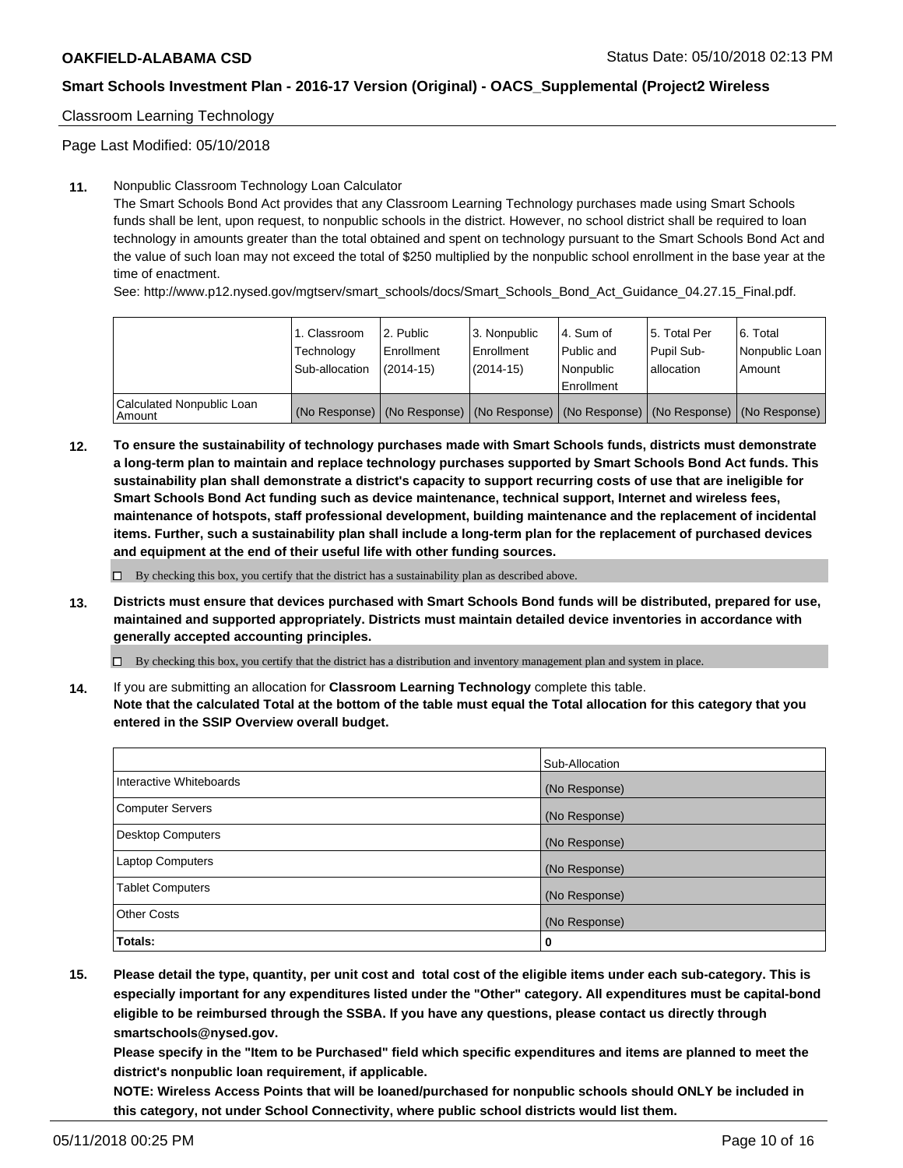### Classroom Learning Technology

Page Last Modified: 05/10/2018

#### **11.** Nonpublic Classroom Technology Loan Calculator

The Smart Schools Bond Act provides that any Classroom Learning Technology purchases made using Smart Schools funds shall be lent, upon request, to nonpublic schools in the district. However, no school district shall be required to loan technology in amounts greater than the total obtained and spent on technology pursuant to the Smart Schools Bond Act and the value of such loan may not exceed the total of \$250 multiplied by the nonpublic school enrollment in the base year at the time of enactment.

See: http://www.p12.nysed.gov/mgtserv/smart\_schools/docs/Smart\_Schools\_Bond\_Act\_Guidance\_04.27.15\_Final.pdf.

|                                       | 1. Classroom<br>Technology<br>Sub-allocation | l 2. Public<br>Enrollment<br>$(2014 - 15)$ | l 3. Nonpublic<br>Enrollment<br>(2014-15) | 4. Sum of<br>Public and<br>l Nonpublic<br>Enrollment | l 5. Total Per<br>Pupil Sub-<br>lallocation                                                   | l 6. Total<br>Nonpublic Loan<br>Amount |
|---------------------------------------|----------------------------------------------|--------------------------------------------|-------------------------------------------|------------------------------------------------------|-----------------------------------------------------------------------------------------------|----------------------------------------|
| Calculated Nonpublic Loan<br>l Amount |                                              |                                            |                                           |                                                      | (No Response)   (No Response)   (No Response)   (No Response)   (No Response)   (No Response) |                                        |

**12. To ensure the sustainability of technology purchases made with Smart Schools funds, districts must demonstrate a long-term plan to maintain and replace technology purchases supported by Smart Schools Bond Act funds. This sustainability plan shall demonstrate a district's capacity to support recurring costs of use that are ineligible for Smart Schools Bond Act funding such as device maintenance, technical support, Internet and wireless fees, maintenance of hotspots, staff professional development, building maintenance and the replacement of incidental items. Further, such a sustainability plan shall include a long-term plan for the replacement of purchased devices and equipment at the end of their useful life with other funding sources.**

 $\square$  By checking this box, you certify that the district has a sustainability plan as described above.

**13. Districts must ensure that devices purchased with Smart Schools Bond funds will be distributed, prepared for use, maintained and supported appropriately. Districts must maintain detailed device inventories in accordance with generally accepted accounting principles.**

By checking this box, you certify that the district has a distribution and inventory management plan and system in place.

**14.** If you are submitting an allocation for **Classroom Learning Technology** complete this table.

**Note that the calculated Total at the bottom of the table must equal the Total allocation for this category that you entered in the SSIP Overview overall budget.**

|                          | Sub-Allocation |
|--------------------------|----------------|
| Interactive Whiteboards  | (No Response)  |
| <b>Computer Servers</b>  | (No Response)  |
| <b>Desktop Computers</b> | (No Response)  |
| <b>Laptop Computers</b>  | (No Response)  |
| <b>Tablet Computers</b>  | (No Response)  |
| <b>Other Costs</b>       | (No Response)  |
| Totals:                  | 0              |

**15. Please detail the type, quantity, per unit cost and total cost of the eligible items under each sub-category. This is especially important for any expenditures listed under the "Other" category. All expenditures must be capital-bond eligible to be reimbursed through the SSBA. If you have any questions, please contact us directly through smartschools@nysed.gov.**

**Please specify in the "Item to be Purchased" field which specific expenditures and items are planned to meet the district's nonpublic loan requirement, if applicable.**

**NOTE: Wireless Access Points that will be loaned/purchased for nonpublic schools should ONLY be included in this category, not under School Connectivity, where public school districts would list them.**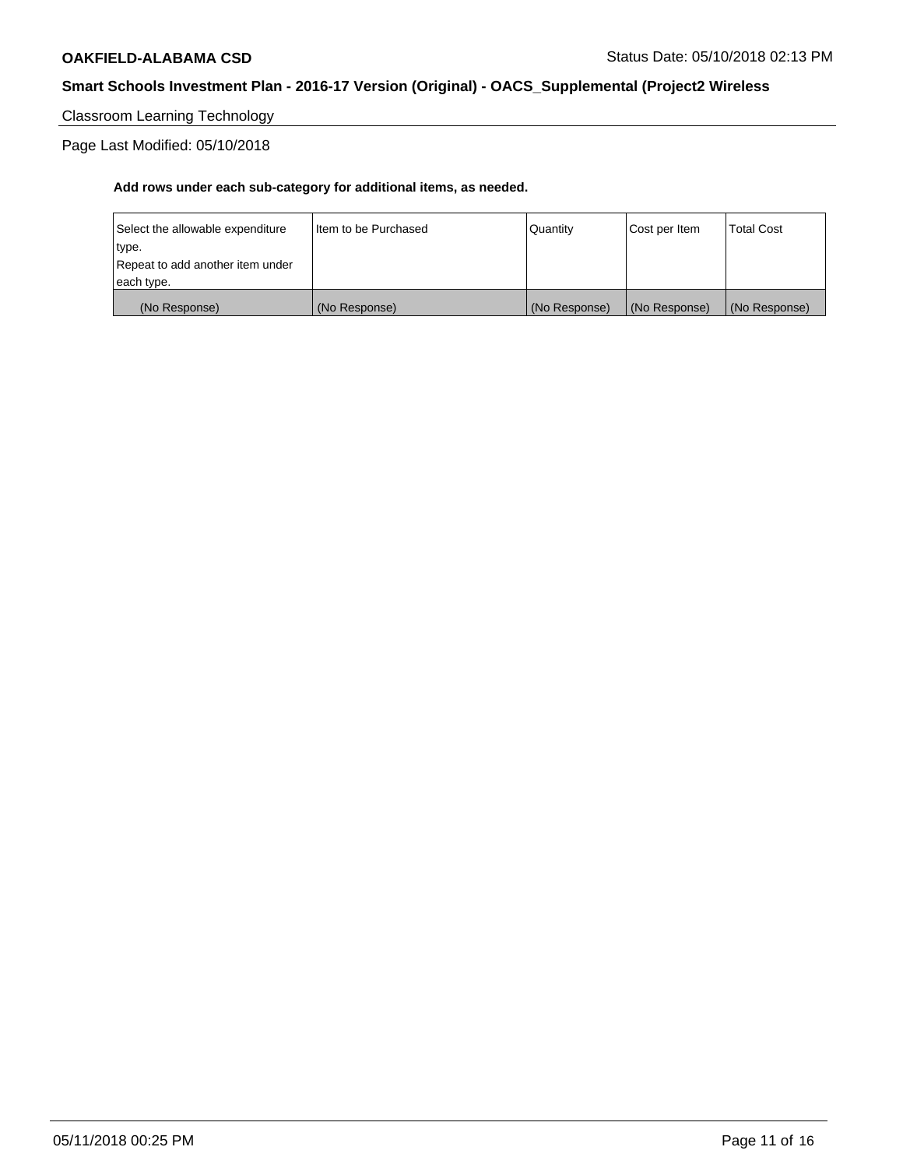Classroom Learning Technology

Page Last Modified: 05/10/2018

| each type.<br>(No Response)               | (No Response)          | (No Response) | (No Response) | (No Response)     |
|-------------------------------------------|------------------------|---------------|---------------|-------------------|
| type.<br>Repeat to add another item under |                        |               |               |                   |
| Select the allowable expenditure          | I Item to be Purchased | l Quantitv    | Cost per Item | <b>Total Cost</b> |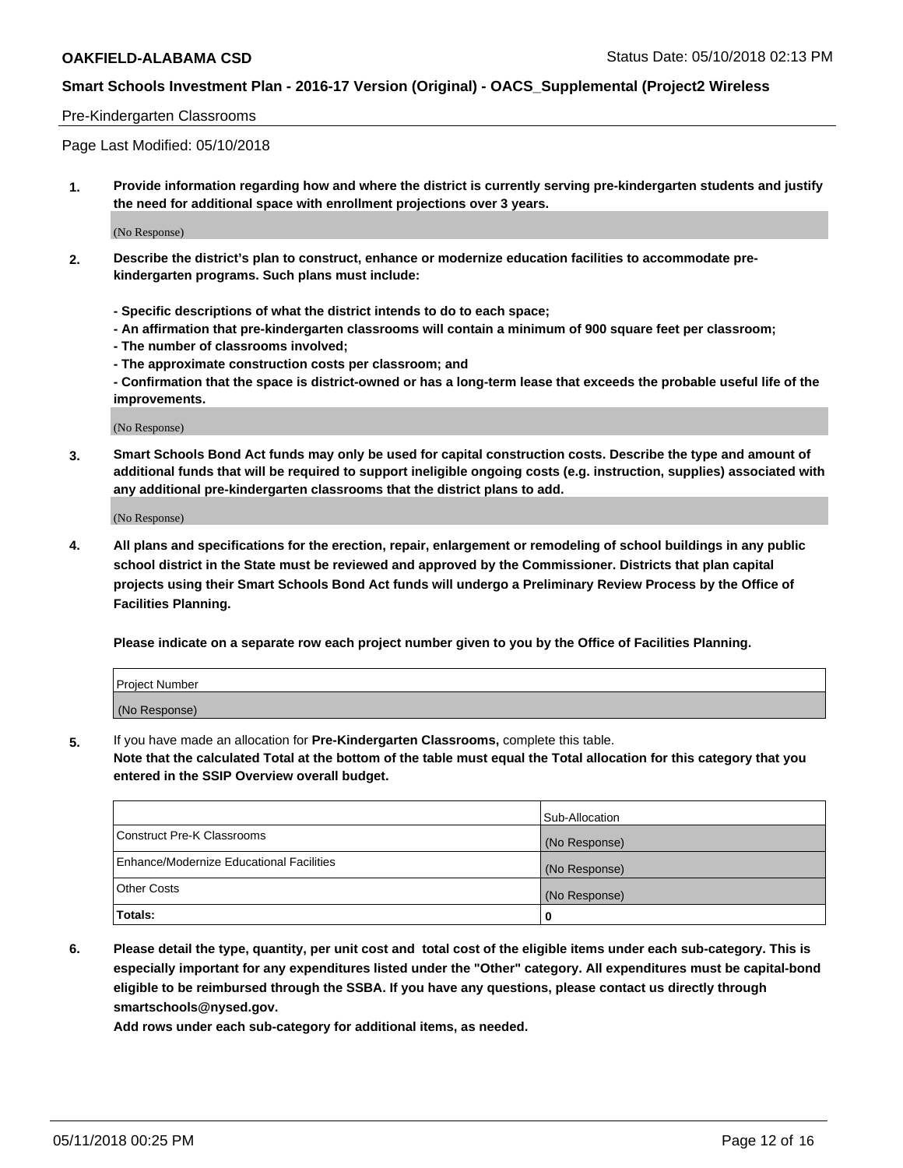#### Pre-Kindergarten Classrooms

Page Last Modified: 05/10/2018

**1. Provide information regarding how and where the district is currently serving pre-kindergarten students and justify the need for additional space with enrollment projections over 3 years.**

(No Response)

- **2. Describe the district's plan to construct, enhance or modernize education facilities to accommodate prekindergarten programs. Such plans must include:**
	- **Specific descriptions of what the district intends to do to each space;**
	- **An affirmation that pre-kindergarten classrooms will contain a minimum of 900 square feet per classroom;**
	- **The number of classrooms involved;**
	- **The approximate construction costs per classroom; and**
	- **Confirmation that the space is district-owned or has a long-term lease that exceeds the probable useful life of the improvements.**

(No Response)

**3. Smart Schools Bond Act funds may only be used for capital construction costs. Describe the type and amount of additional funds that will be required to support ineligible ongoing costs (e.g. instruction, supplies) associated with any additional pre-kindergarten classrooms that the district plans to add.**

(No Response)

**4. All plans and specifications for the erection, repair, enlargement or remodeling of school buildings in any public school district in the State must be reviewed and approved by the Commissioner. Districts that plan capital projects using their Smart Schools Bond Act funds will undergo a Preliminary Review Process by the Office of Facilities Planning.**

**Please indicate on a separate row each project number given to you by the Office of Facilities Planning.**

| <b>Project Number</b> |  |
|-----------------------|--|
| (No Response)         |  |

**5.** If you have made an allocation for **Pre-Kindergarten Classrooms,** complete this table.

**Note that the calculated Total at the bottom of the table must equal the Total allocation for this category that you entered in the SSIP Overview overall budget.**

|                                          | Sub-Allocation |
|------------------------------------------|----------------|
| Construct Pre-K Classrooms               | (No Response)  |
| Enhance/Modernize Educational Facilities | (No Response)  |
| Other Costs                              | (No Response)  |
| Totals:                                  | 0              |

**6. Please detail the type, quantity, per unit cost and total cost of the eligible items under each sub-category. This is especially important for any expenditures listed under the "Other" category. All expenditures must be capital-bond eligible to be reimbursed through the SSBA. If you have any questions, please contact us directly through smartschools@nysed.gov.**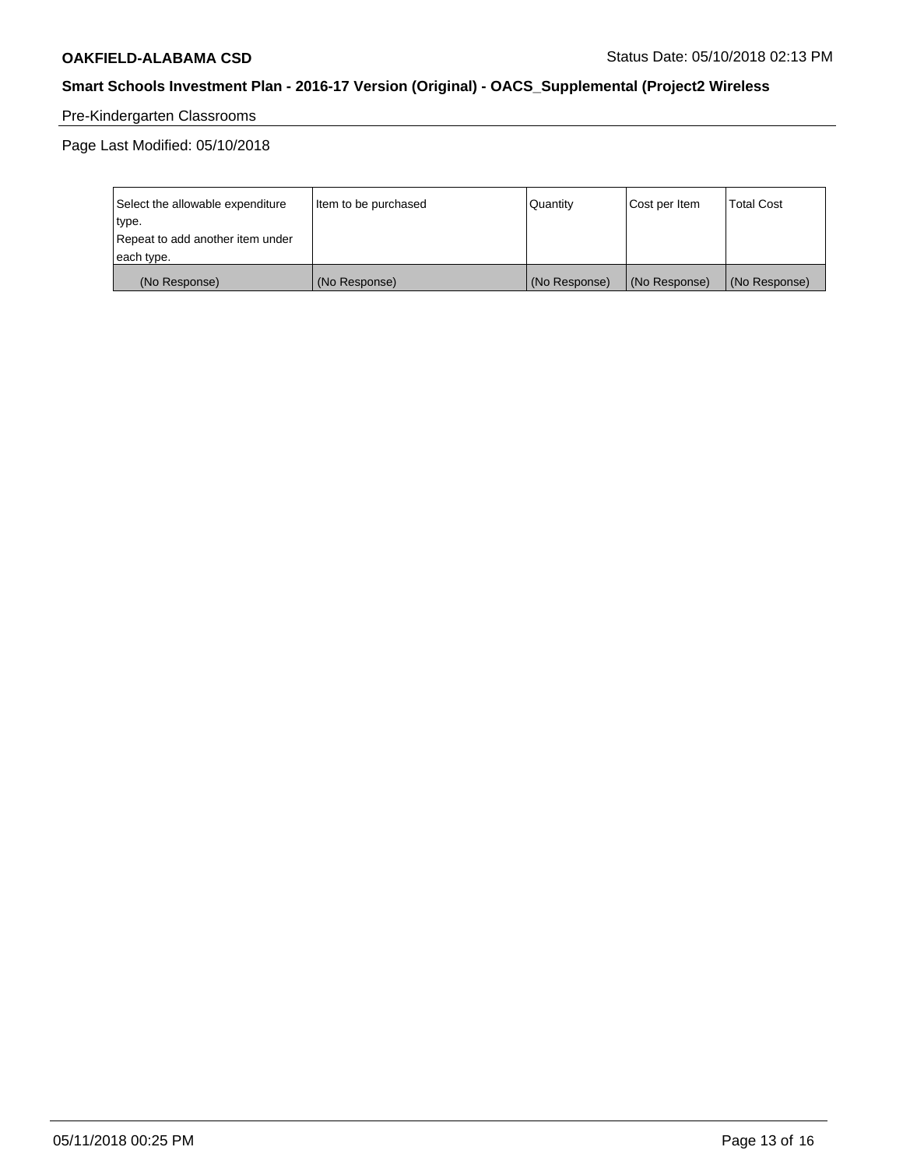# Pre-Kindergarten Classrooms

Page Last Modified: 05/10/2018

| Select the allowable expenditure | Item to be purchased | Quantity      | Cost per Item | <b>Total Cost</b> |
|----------------------------------|----------------------|---------------|---------------|-------------------|
| type.                            |                      |               |               |                   |
| Repeat to add another item under |                      |               |               |                   |
| each type.                       |                      |               |               |                   |
| (No Response)                    | (No Response)        | (No Response) | (No Response) | (No Response)     |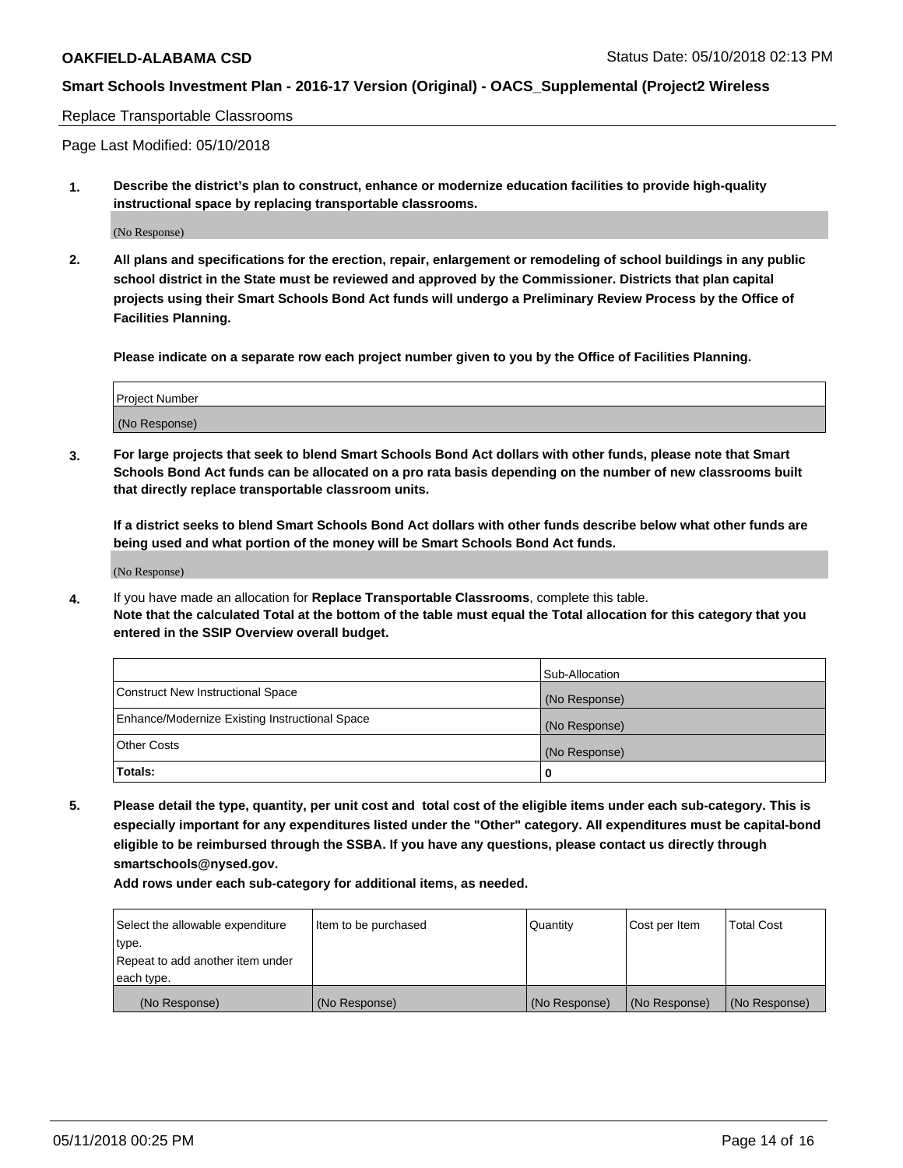#### Replace Transportable Classrooms

Page Last Modified: 05/10/2018

**1. Describe the district's plan to construct, enhance or modernize education facilities to provide high-quality instructional space by replacing transportable classrooms.**

(No Response)

**2. All plans and specifications for the erection, repair, enlargement or remodeling of school buildings in any public school district in the State must be reviewed and approved by the Commissioner. Districts that plan capital projects using their Smart Schools Bond Act funds will undergo a Preliminary Review Process by the Office of Facilities Planning.**

**Please indicate on a separate row each project number given to you by the Office of Facilities Planning.**

| <b>Project Number</b> |  |
|-----------------------|--|
| (No Response)         |  |
|                       |  |

**3. For large projects that seek to blend Smart Schools Bond Act dollars with other funds, please note that Smart Schools Bond Act funds can be allocated on a pro rata basis depending on the number of new classrooms built that directly replace transportable classroom units.**

**If a district seeks to blend Smart Schools Bond Act dollars with other funds describe below what other funds are being used and what portion of the money will be Smart Schools Bond Act funds.**

(No Response)

**4.** If you have made an allocation for **Replace Transportable Classrooms**, complete this table. **Note that the calculated Total at the bottom of the table must equal the Total allocation for this category that you entered in the SSIP Overview overall budget.**

|                                                | Sub-Allocation |
|------------------------------------------------|----------------|
| Construct New Instructional Space              | (No Response)  |
| Enhance/Modernize Existing Instructional Space | (No Response)  |
| Other Costs                                    | (No Response)  |
| Totals:                                        | 0              |

**5. Please detail the type, quantity, per unit cost and total cost of the eligible items under each sub-category. This is especially important for any expenditures listed under the "Other" category. All expenditures must be capital-bond eligible to be reimbursed through the SSBA. If you have any questions, please contact us directly through smartschools@nysed.gov.**

| Select the allowable expenditure | Item to be purchased | Quantity      | Cost per Item | <b>Total Cost</b> |
|----------------------------------|----------------------|---------------|---------------|-------------------|
| type.                            |                      |               |               |                   |
| Repeat to add another item under |                      |               |               |                   |
| each type.                       |                      |               |               |                   |
| (No Response)                    | (No Response)        | (No Response) | (No Response) | (No Response)     |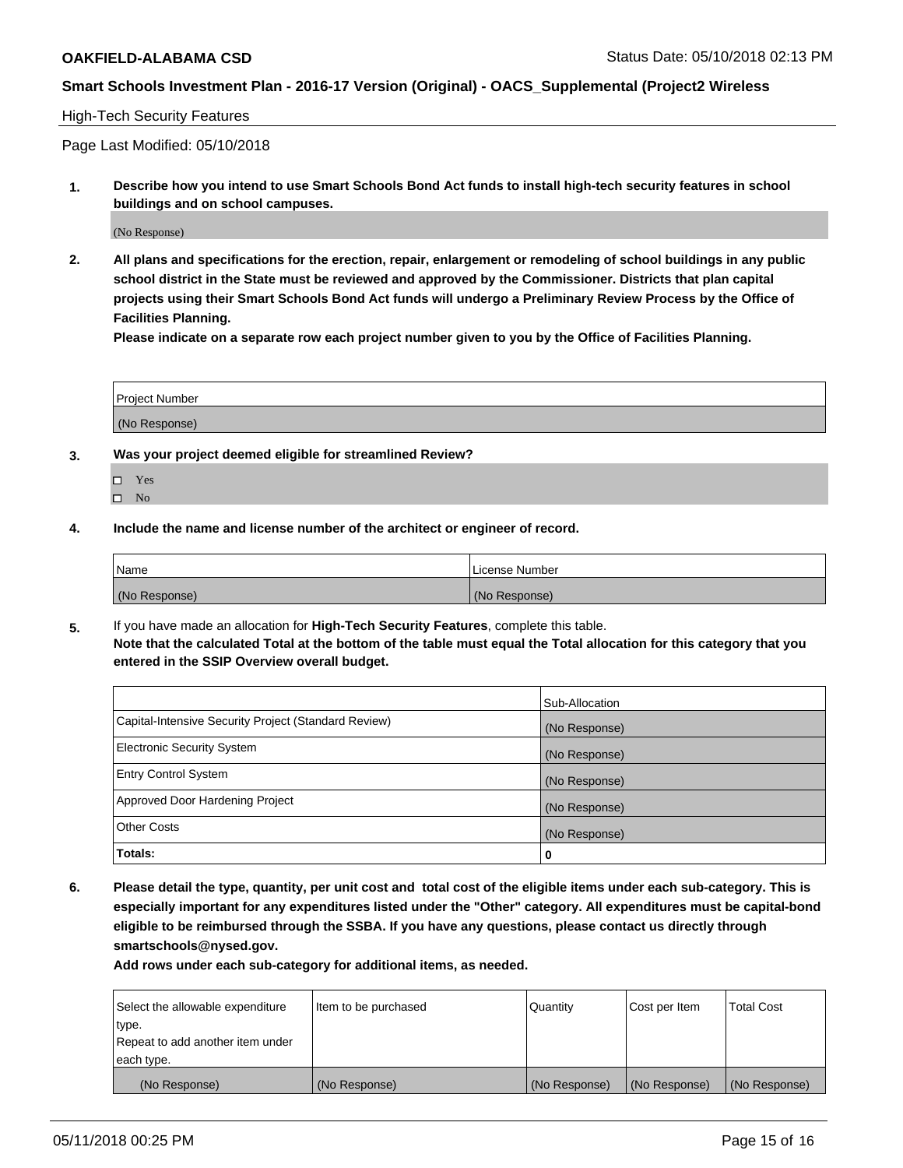#### High-Tech Security Features

Page Last Modified: 05/10/2018

**1. Describe how you intend to use Smart Schools Bond Act funds to install high-tech security features in school buildings and on school campuses.**

(No Response)

**2. All plans and specifications for the erection, repair, enlargement or remodeling of school buildings in any public school district in the State must be reviewed and approved by the Commissioner. Districts that plan capital projects using their Smart Schools Bond Act funds will undergo a Preliminary Review Process by the Office of Facilities Planning.** 

**Please indicate on a separate row each project number given to you by the Office of Facilities Planning.**

| <b>Project Number</b> |  |  |
|-----------------------|--|--|
|                       |  |  |
| (No Response)         |  |  |

- **3. Was your project deemed eligible for streamlined Review?**
	- Yes  $\square$  No
- **4. Include the name and license number of the architect or engineer of record.**

| <i>Name</i>   | License Number |
|---------------|----------------|
| (No Response) | (No Response)  |

**5.** If you have made an allocation for **High-Tech Security Features**, complete this table. **Note that the calculated Total at the bottom of the table must equal the Total allocation for this category that you entered in the SSIP Overview overall budget.**

|                                                      | Sub-Allocation |
|------------------------------------------------------|----------------|
| Capital-Intensive Security Project (Standard Review) | (No Response)  |
| <b>Electronic Security System</b>                    | (No Response)  |
| <b>Entry Control System</b>                          | (No Response)  |
| Approved Door Hardening Project                      | (No Response)  |
| <b>Other Costs</b>                                   | (No Response)  |
| Totals:                                              | 0              |

**6. Please detail the type, quantity, per unit cost and total cost of the eligible items under each sub-category. This is especially important for any expenditures listed under the "Other" category. All expenditures must be capital-bond eligible to be reimbursed through the SSBA. If you have any questions, please contact us directly through smartschools@nysed.gov.**

| Select the allowable expenditure | Item to be purchased | Quantity      | Cost per Item | <b>Total Cost</b> |
|----------------------------------|----------------------|---------------|---------------|-------------------|
| type.                            |                      |               |               |                   |
| Repeat to add another item under |                      |               |               |                   |
| each type.                       |                      |               |               |                   |
| (No Response)                    | (No Response)        | (No Response) | (No Response) | (No Response)     |